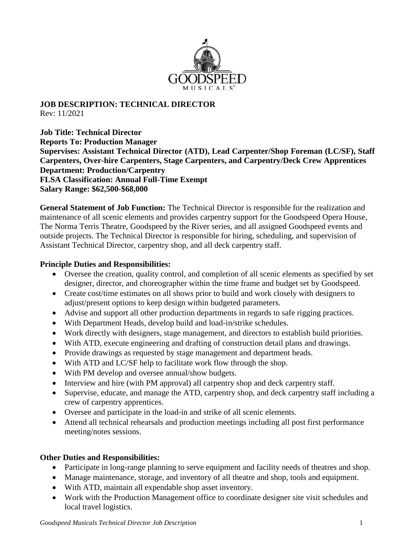

## **JOB DESCRIPTION: TECHNICAL DIRECTOR** Rev: 11/2021

**Job Title: Technical Director Reports To: Production Manager Supervises: Assistant Technical Director (ATD), Lead Carpenter/Shop Foreman (LC/SF), Staff Carpenters, Over-hire Carpenters, Stage Carpenters, and Carpentry/Deck Crew Apprentices Department: Production/Carpentry FLSA Classification: Annual Full-Time Exempt Salary Range: \$62,500-\$68,000**

**General Statement of Job Function:** The Technical Director is responsible for the realization and maintenance of all scenic elements and provides carpentry support for the Goodspeed Opera House, The Norma Terris Theatre, Goodspeed by the River series, and all assigned Goodspeed events and outside projects. The Technical Director is responsible for hiring, scheduling, and supervision of Assistant Technical Director, carpentry shop, and all deck carpentry staff.

## **Principle Duties and Responsibilities:**

- Oversee the creation, quality control, and completion of all scenic elements as specified by set designer, director, and choreographer within the time frame and budget set by Goodspeed.
- Create cost/time estimates on all shows prior to build and work closely with designers to adjust/present options to keep design within budgeted parameters.
- Advise and support all other production departments in regards to safe rigging practices.
- With Department Heads, develop build and load-in/strike schedules.
- Work directly with designers, stage management, and directors to establish build priorities.
- With ATD, execute engineering and drafting of construction detail plans and drawings.
- Provide drawings as requested by stage management and department heads.
- With ATD and LC/SF help to facilitate work flow through the shop.
- With PM develop and oversee annual/show budgets.
- Interview and hire (with PM approval) all carpentry shop and deck carpentry staff.
- Supervise, educate, and manage the ATD, carpentry shop, and deck carpentry staff including a crew of carpentry apprentices.
- Oversee and participate in the load-in and strike of all scenic elements.
- Attend all technical rehearsals and production meetings including all post first performance meeting/notes sessions.

## **Other Duties and Responsibilities:**

- Participate in long-range planning to serve equipment and facility needs of theatres and shop.
- Manage maintenance, storage, and inventory of all theatre and shop, tools and equipment.
- With ATD, maintain all expendable shop asset inventory.
- Work with the Production Management office to coordinate designer site visit schedules and local travel logistics.